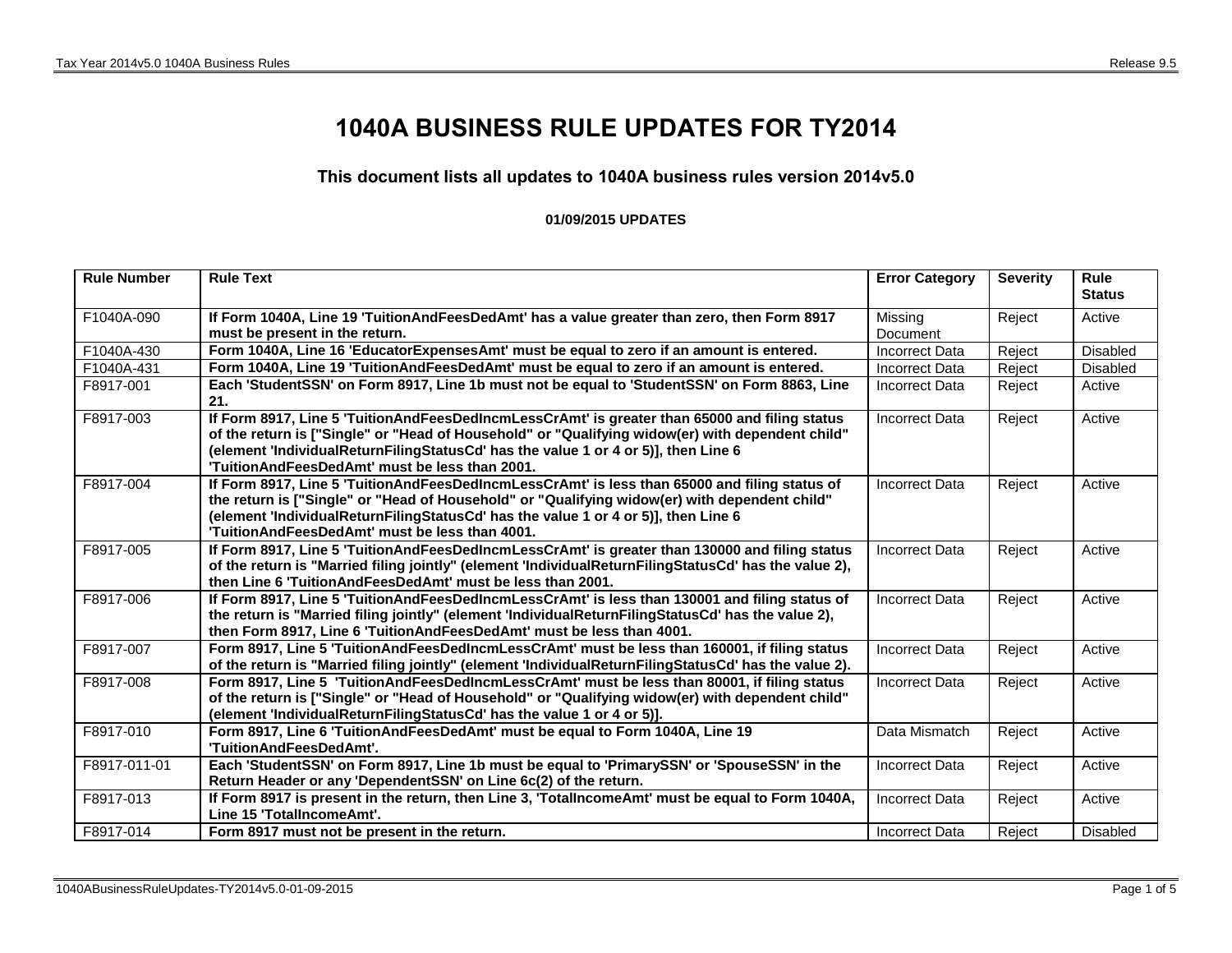## **1040A BUSINESS RULE UPDATES FOR TY2014**

## **This document lists all updates to 1040A business rules version 2014v5.0**

## **01/09/2015 UPDATES**

| <b>Rule Number</b> | <b>Rule Text</b>                                                                                                                                                                                                                                                                                                                          | <b>Error Category</b> | <b>Severity</b> | <b>Rule</b><br><b>Status</b> |
|--------------------|-------------------------------------------------------------------------------------------------------------------------------------------------------------------------------------------------------------------------------------------------------------------------------------------------------------------------------------------|-----------------------|-----------------|------------------------------|
| F1040A-090         | If Form 1040A, Line 19 'TuitionAndFeesDedAmt' has a value greater than zero, then Form 8917<br>must be present in the return.                                                                                                                                                                                                             | Missing<br>Document   | Reject          | Active                       |
| F1040A-430         | Form 1040A, Line 16 'EducatorExpensesAmt' must be equal to zero if an amount is entered.                                                                                                                                                                                                                                                  | <b>Incorrect Data</b> | Reject          | <b>Disabled</b>              |
| F1040A-431         | Form 1040A, Line 19 'TuitionAndFeesDedAmt' must be equal to zero if an amount is entered.                                                                                                                                                                                                                                                 | <b>Incorrect Data</b> | Reject          | <b>Disabled</b>              |
| F8917-001          | Each 'StudentSSN' on Form 8917, Line 1b must not be equal to 'StudentSSN' on Form 8863, Line<br>21.                                                                                                                                                                                                                                       | Incorrect Data        | Reject          | Active                       |
| F8917-003          | If Form 8917, Line 5 'TuitionAndFeesDedIncmLessCrAmt' is greater than 65000 and filing status<br>of the return is ["Single" or "Head of Household" or "Qualifying widow(er) with dependent child"<br>(element 'IndividualReturnFilingStatusCd' has the value 1 or 4 or 5)], then Line 6<br>'TuitionAndFeesDedAmt' must be less than 2001. | <b>Incorrect Data</b> | Reject          | Active                       |
| F8917-004          | If Form 8917, Line 5 'TuitionAndFeesDedIncmLessCrAmt' is less than 65000 and filing status of<br>the return is ["Single" or "Head of Household" or "Qualifying widow(er) with dependent child"<br>(element 'IndividualReturnFilingStatusCd' has the value 1 or 4 or 5)], then Line 6<br>'TuitionAndFeesDedAmt' must be less than 4001.    | <b>Incorrect Data</b> | Reject          | Active                       |
| F8917-005          | If Form 8917, Line 5 'TuitionAndFeesDedIncmLessCrAmt' is greater than 130000 and filing status<br>of the return is "Married filing jointly" (element 'IndividualReturnFilingStatusCd' has the value 2),<br>then Line 6 'Tuition And Fees Ded Amt' must be less than 2001.                                                                 | <b>Incorrect Data</b> | Reject          | Active                       |
| F8917-006          | If Form 8917, Line 5 'TuitionAndFeesDedIncmLessCrAmt' is less than 130001 and filing status of<br>the return is "Married filing jointly" (element 'IndividualReturnFilingStatusCd' has the value 2),<br>then Form 8917, Line 6 'TuitionAndFeesDedAmt' must be less than 4001.                                                             | <b>Incorrect Data</b> | Reject          | Active                       |
| F8917-007          | Form 8917, Line 5 'TuitionAndFeesDedIncmLessCrAmt' must be less than 160001, if filing status<br>of the return is "Married filing jointly" (element 'IndividualReturnFilingStatusCd' has the value 2).                                                                                                                                    | <b>Incorrect Data</b> | Reject          | Active                       |
| F8917-008          | Form 8917, Line 5 'TuitionAndFeesDedIncmLessCrAmt' must be less than 80001, if filing status<br>of the return is ["Single" or "Head of Household" or "Qualifying widow(er) with dependent child"<br>(element 'IndividualReturnFilingStatusCd' has the value 1 or 4 or 5)].                                                                | <b>Incorrect Data</b> | Reject          | Active                       |
| F8917-010          | Form 8917, Line 6 'TuitionAndFeesDedAmt' must be equal to Form 1040A, Line 19<br>'TuitionAndFeesDedAmt'.                                                                                                                                                                                                                                  | Data Mismatch         | Reject          | Active                       |
| F8917-011-01       | Each 'StudentSSN' on Form 8917, Line 1b must be equal to 'PrimarySSN' or 'SpouseSSN' in the<br>Return Header or any 'DependentSSN' on Line 6c(2) of the return.                                                                                                                                                                           | <b>Incorrect Data</b> | Reject          | Active                       |
| F8917-013          | If Form 8917 is present in the return, then Line 3, 'TotalIncomeAmt' must be equal to Form 1040A,<br>Line 15 'TotalIncomeAmt'.                                                                                                                                                                                                            | <b>Incorrect Data</b> | Reject          | Active                       |
| F8917-014          | Form 8917 must not be present in the return.                                                                                                                                                                                                                                                                                              | Incorrect Data        | Reject          | <b>Disabled</b>              |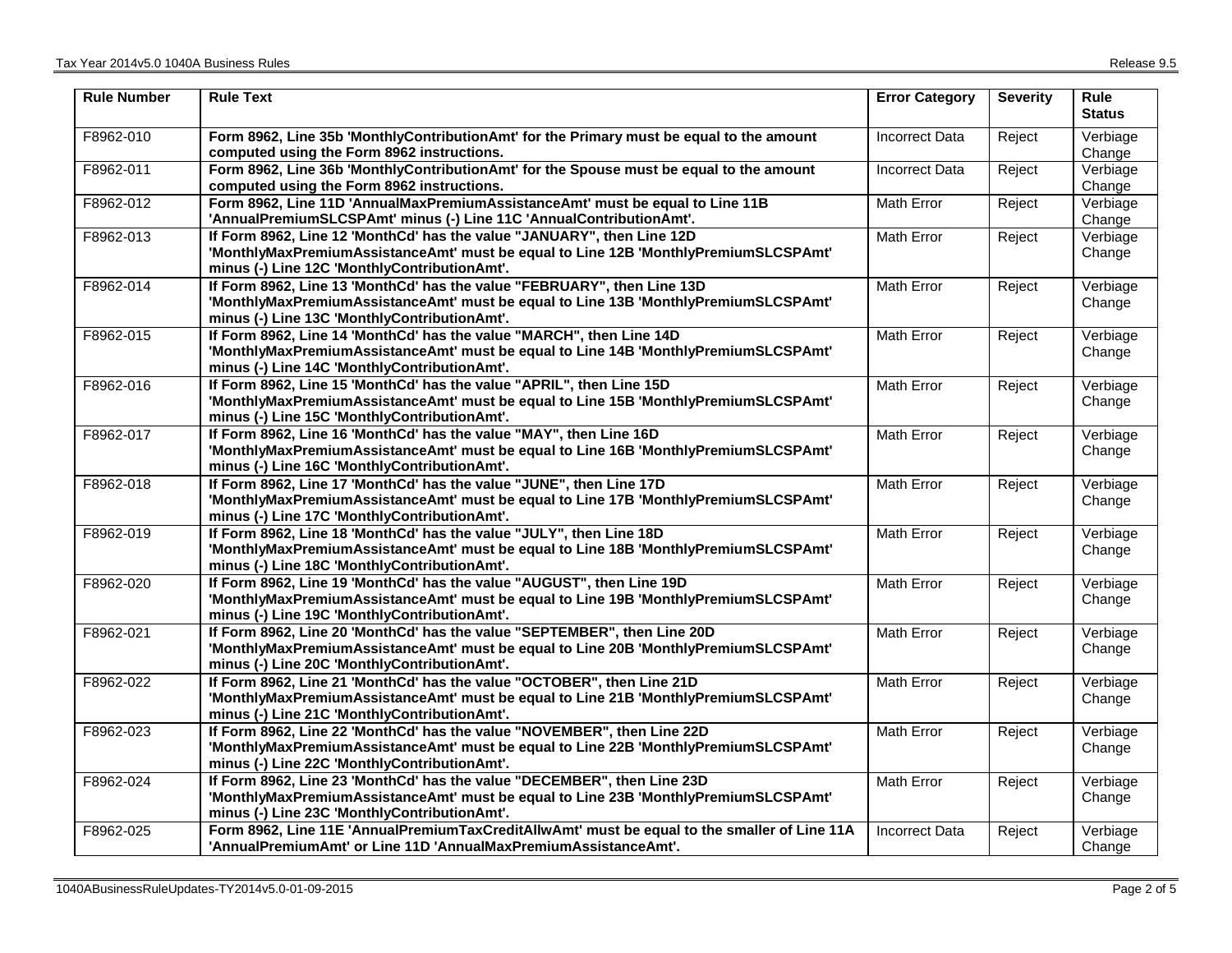| <b>Rule Number</b> | <b>Rule Text</b>                                                                                                                                                                                                | <b>Error Category</b> | <b>Severity</b> | <b>Rule</b><br><b>Status</b> |
|--------------------|-----------------------------------------------------------------------------------------------------------------------------------------------------------------------------------------------------------------|-----------------------|-----------------|------------------------------|
| F8962-010          | Form 8962, Line 35b 'MonthlyContributionAmt' for the Primary must be equal to the amount<br>computed using the Form 8962 instructions.                                                                          | <b>Incorrect Data</b> | Reject          | Verbiage<br>Change           |
| F8962-011          | Form 8962, Line 36b 'MonthlyContributionAmt' for the Spouse must be equal to the amount<br>computed using the Form 8962 instructions.                                                                           | Incorrect Data        | Reject          | Verbiage<br>Change           |
| F8962-012          | Form 8962, Line 11D 'AnnualMaxPremiumAssistanceAmt' must be equal to Line 11B<br>'AnnualPremiumSLCSPAmt' minus (-) Line 11C 'AnnualContributionAmt'.                                                            | <b>Math Error</b>     | Reject          | Verbiage<br>Change           |
| F8962-013          | If Form 8962, Line 12 'MonthCd' has the value "JANUARY", then Line 12D<br>'MonthlyMaxPremiumAssistanceAmt' must be equal to Line 12B 'MonthlyPremiumSLCSPAmt'<br>minus (-) Line 12C 'MonthlyContributionAmt'.   | <b>Math Error</b>     | Reject          | Verbiage<br>Change           |
| F8962-014          | If Form 8962, Line 13 'MonthCd' has the value "FEBRUARY", then Line 13D<br>'MonthlyMaxPremiumAssistanceAmt' must be equal to Line 13B 'MonthlyPremiumSLCSPAmt'<br>minus (-) Line 13C 'MonthlyContributionAmt'.  | Math Error            | Reject          | Verbiage<br>Change           |
| F8962-015          | If Form 8962, Line 14 'MonthCd' has the value "MARCH", then Line 14D<br>'MonthlyMaxPremiumAssistanceAmt' must be equal to Line 14B 'MonthlyPremiumSLCSPAmt'<br>minus (-) Line 14C 'MonthlyContributionAmt'.     | <b>Math Error</b>     | Reject          | Verbiage<br>Change           |
| F8962-016          | If Form 8962, Line 15 'MonthCd' has the value "APRIL", then Line 15D<br>'MonthlyMaxPremiumAssistanceAmt' must be equal to Line 15B 'MonthlyPremiumSLCSPAmt'<br>minus (-) Line 15C 'MonthlyContributionAmt'.     | <b>Math Error</b>     | Reject          | Verbiage<br>Change           |
| F8962-017          | If Form 8962, Line 16 'MonthCd' has the value "MAY", then Line 16D<br>'MonthlyMaxPremiumAssistanceAmt' must be equal to Line 16B 'MonthlyPremiumSLCSPAmt'<br>minus (-) Line 16C 'MonthlyContributionAmt'.       | Math Error            | Reject          | Verbiage<br>Change           |
| F8962-018          | If Form 8962, Line 17 'MonthCd' has the value "JUNE", then Line 17D<br>'MonthlyMaxPremiumAssistanceAmt' must be equal to Line 17B 'MonthlyPremiumSLCSPAmt'<br>minus (-) Line 17C 'MonthlyContributionAmt'.      | Math Error            | Reject          | Verbiage<br>Change           |
| F8962-019          | If Form 8962, Line 18 'MonthCd' has the value "JULY", then Line 18D<br>'MonthlyMaxPremiumAssistanceAmt' must be equal to Line 18B 'MonthlyPremiumSLCSPAmt'<br>minus (-) Line 18C 'MonthlyContributionAmt'.      | Math Error            | Reject          | Verbiage<br>Change           |
| F8962-020          | If Form 8962, Line 19 'MonthCd' has the value "AUGUST", then Line 19D<br>'MonthlyMaxPremiumAssistanceAmt' must be equal to Line 19B 'MonthlyPremiumSLCSPAmt'<br>minus (-) Line 19C 'MonthlyContributionAmt'.    | Math Error            | Reject          | Verbiage<br>Change           |
| F8962-021          | If Form 8962, Line 20 'MonthCd' has the value "SEPTEMBER", then Line 20D<br>'MonthlyMaxPremiumAssistanceAmt' must be equal to Line 20B 'MonthlyPremiumSLCSPAmt'<br>minus (-) Line 20C 'MonthlyContributionAmt'. | <b>Math Error</b>     | Reject          | Verbiage<br>Change           |
| F8962-022          | If Form 8962, Line 21 'MonthCd' has the value "OCTOBER", then Line 21D<br>'MonthlyMaxPremiumAssistanceAmt' must be equal to Line 21B 'MonthlyPremiumSLCSPAmt'<br>minus (-) Line 21C 'MonthlyContributionAmt'.   | Math Error            | Reject          | Verbiage<br>Change           |
| F8962-023          | If Form 8962, Line 22 'MonthCd' has the value "NOVEMBER", then Line 22D<br>'MonthlyMaxPremiumAssistanceAmt' must be equal to Line 22B 'MonthlyPremiumSLCSPAmt'<br>minus (-) Line 22C 'MonthlyContributionAmt'.  | Math Error            | Reject          | Verbiage<br>Change           |
| F8962-024          | If Form 8962, Line 23 'MonthCd' has the value "DECEMBER", then Line 23D<br>'MonthlyMaxPremiumAssistanceAmt' must be equal to Line 23B 'MonthlyPremiumSLCSPAmt'<br>minus (-) Line 23C 'MonthlyContributionAmt'.  | <b>Math Error</b>     | Reject          | Verbiage<br>Change           |
| F8962-025          | Form 8962, Line 11E 'AnnualPremiumTaxCreditAllwAmt' must be equal to the smaller of Line 11A<br>'AnnualPremiumAmt' or Line 11D 'AnnualMaxPremiumAssistanceAmt'.                                                 | <b>Incorrect Data</b> | Reject          | Verbiage<br>Change           |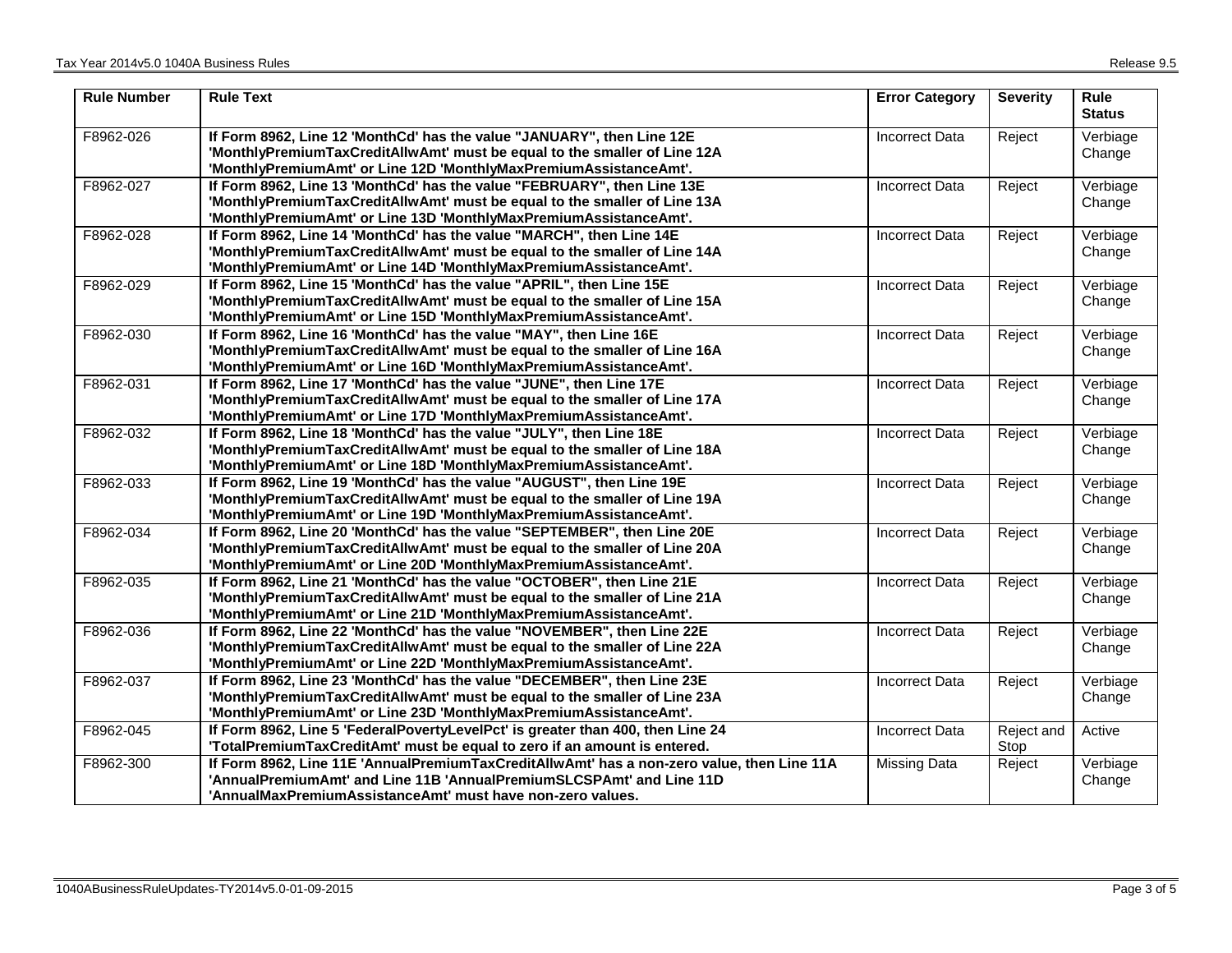| <b>Rule Number</b> | <b>Rule Text</b>                                                                                                                                                                                                                 | <b>Error Category</b> | <b>Severity</b>    | Rule<br><b>Status</b> |
|--------------------|----------------------------------------------------------------------------------------------------------------------------------------------------------------------------------------------------------------------------------|-----------------------|--------------------|-----------------------|
| F8962-026          | If Form 8962, Line 12 'MonthCd' has the value "JANUARY", then Line 12E<br>'MonthlyPremiumTaxCreditAllwAmt' must be equal to the smaller of Line 12A<br>'MonthlyPremiumAmt' or Line 12D 'MonthlyMaxPremiumAssistanceAmt'.         | Incorrect Data        | Reject             | Verbiage<br>Change    |
| F8962-027          | If Form 8962, Line 13 'MonthCd' has the value "FEBRUARY", then Line 13E<br>'MonthlyPremiumTaxCreditAllwAmt' must be equal to the smaller of Line 13A<br>'MonthlyPremiumAmt' or Line 13D 'MonthlyMaxPremiumAssistanceAmt'.        | <b>Incorrect Data</b> | Reject             | Verbiage<br>Change    |
| F8962-028          | If Form 8962, Line 14 'MonthCd' has the value "MARCH", then Line 14E<br>'MonthlyPremiumTaxCreditAllwAmt' must be equal to the smaller of Line 14A<br>'MonthlyPremiumAmt' or Line 14D 'MonthlyMaxPremiumAssistanceAmt'.           | <b>Incorrect Data</b> | Reject             | Verbiage<br>Change    |
| F8962-029          | If Form 8962, Line 15 'MonthCd' has the value "APRIL", then Line 15E<br>'MonthlyPremiumTaxCreditAllwAmt' must be equal to the smaller of Line 15A<br>'MonthlyPremiumAmt' or Line 15D 'MonthlyMaxPremiumAssistanceAmt'.           | <b>Incorrect Data</b> | Reject             | Verbiage<br>Change    |
| F8962-030          | If Form 8962, Line 16 'MonthCd' has the value "MAY", then Line 16E<br>'MonthlyPremiumTaxCreditAllwAmt' must be equal to the smaller of Line 16A<br>'MonthlyPremiumAmt' or Line 16D 'MonthlyMaxPremiumAssistanceAmt'.             | Incorrect Data        | Reject             | Verbiage<br>Change    |
| F8962-031          | If Form 8962, Line 17 'MonthCd' has the value "JUNE", then Line 17E<br>'MonthlyPremiumTaxCreditAllwAmt' must be equal to the smaller of Line 17A<br>'MonthlyPremiumAmt' or Line 17D 'MonthlyMaxPremiumAssistanceAmt'.            | <b>Incorrect Data</b> | Reject             | Verbiage<br>Change    |
| F8962-032          | If Form 8962, Line 18 'MonthCd' has the value "JULY", then Line 18E<br>'MonthlyPremiumTaxCreditAllwAmt' must be equal to the smaller of Line 18A<br>'MonthlyPremiumAmt' or Line 18D 'MonthlyMaxPremiumAssistanceAmt'.            | <b>Incorrect Data</b> | Reject             | Verbiage<br>Change    |
| F8962-033          | If Form 8962, Line 19 'MonthCd' has the value "AUGUST", then Line 19E<br>'MonthlyPremiumTaxCreditAllwAmt' must be equal to the smaller of Line 19A<br>'MonthlyPremiumAmt' or Line 19D 'MonthlyMaxPremiumAssistanceAmt'.          | <b>Incorrect Data</b> | Reject             | Verbiage<br>Change    |
| F8962-034          | If Form 8962, Line 20 'MonthCd' has the value "SEPTEMBER", then Line 20E<br>'MonthlyPremiumTaxCreditAllwAmt' must be equal to the smaller of Line 20A<br>'MonthlyPremiumAmt' or Line 20D 'MonthlyMaxPremiumAssistanceAmt'.       | <b>Incorrect Data</b> | Reject             | Verbiage<br>Change    |
| F8962-035          | If Form 8962, Line 21 'MonthCd' has the value "OCTOBER", then Line 21E<br>'MonthlyPremiumTaxCreditAllwAmt' must be equal to the smaller of Line 21A<br>'MonthlyPremiumAmt' or Line 21D 'MonthlyMaxPremiumAssistanceAmt'.         | <b>Incorrect Data</b> | Reject             | Verbiage<br>Change    |
| F8962-036          | If Form 8962, Line 22 'MonthCd' has the value "NOVEMBER", then Line 22E<br>'MonthlyPremiumTaxCreditAllwAmt' must be equal to the smaller of Line 22A<br>'MonthlyPremiumAmt' or Line 22D 'MonthlyMaxPremiumAssistanceAmt'.        | <b>Incorrect Data</b> | Reject             | Verbiage<br>Change    |
| F8962-037          | If Form 8962, Line 23 'MonthCd' has the value "DECEMBER", then Line 23E<br>'MonthlyPremiumTaxCreditAllwAmt' must be equal to the smaller of Line 23A<br>'MonthlyPremiumAmt' or Line 23D 'MonthlyMaxPremiumAssistanceAmt'.        | <b>Incorrect Data</b> | Reject             | Verbiage<br>Change    |
| F8962-045          | If Form 8962, Line 5 'FederalPovertyLevelPct' is greater than 400, then Line 24<br>'TotalPremiumTaxCreditAmt' must be equal to zero if an amount is entered.                                                                     | <b>Incorrect Data</b> | Reject and<br>Stop | Active                |
| F8962-300          | If Form 8962, Line 11E 'AnnualPremiumTaxCreditAllwAmt' has a non-zero value, then Line 11A<br>'AnnualPremiumAmt' and Line 11B 'AnnualPremiumSLCSPAmt' and Line 11D<br>'AnnualMaxPremiumAssistanceAmt' must have non-zero values. | Missing Data          | Reject             | Verbiage<br>Change    |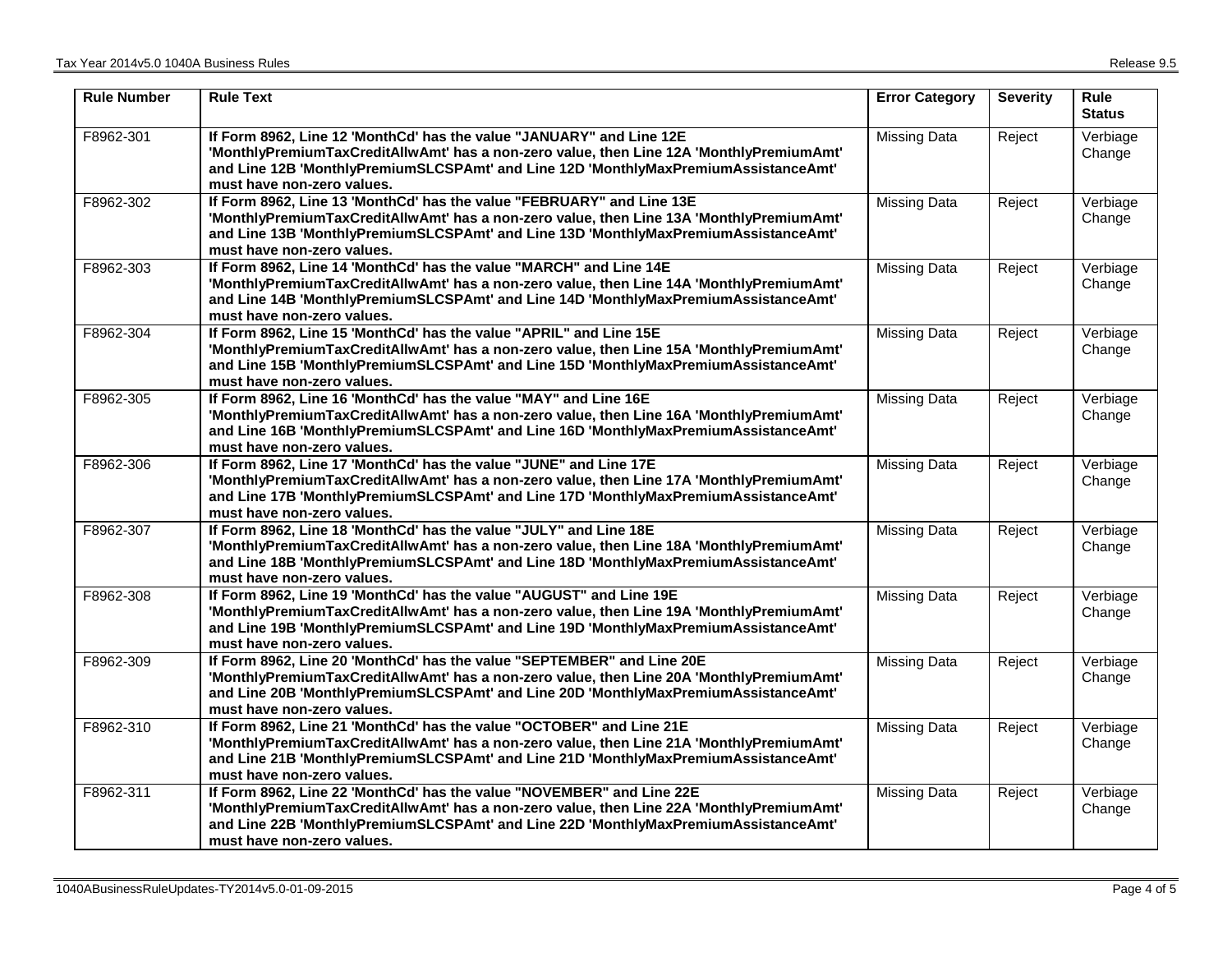| <b>Rule Number</b> | <b>Rule Text</b>                                                                                                                                                                                                                                                                        | <b>Error Category</b> | <b>Severity</b> | <b>Rule</b><br><b>Status</b>              |
|--------------------|-----------------------------------------------------------------------------------------------------------------------------------------------------------------------------------------------------------------------------------------------------------------------------------------|-----------------------|-----------------|-------------------------------------------|
| F8962-301          | If Form 8962, Line 12 'MonthCd' has the value "JANUARY" and Line 12E<br>'MonthlyPremiumTaxCreditAllwAmt' has a non-zero value, then Line 12A 'MonthlyPremiumAmt'<br>and Line 12B 'MonthlyPremiumSLCSPAmt' and Line 12D 'MonthlyMaxPremiumAssistanceAmt'<br>must have non-zero values.   | <b>Missing Data</b>   | Reject          | $\overline{\mathsf{V}}$ erbiage<br>Change |
| F8962-302          | If Form 8962, Line 13 'MonthCd' has the value "FEBRUARY" and Line 13E<br>'MonthlyPremiumTaxCreditAllwAmt' has a non-zero value, then Line 13A 'MonthlyPremiumAmt'<br>and Line 13B 'MonthlyPremiumSLCSPAmt' and Line 13D 'MonthlyMaxPremiumAssistanceAmt'<br>must have non-zero values.  | <b>Missing Data</b>   | Reject          | Verbiage<br>Change                        |
| F8962-303          | If Form 8962, Line 14 'MonthCd' has the value "MARCH" and Line 14E<br>'MonthlyPremiumTaxCreditAllwAmt' has a non-zero value, then Line 14A 'MonthlyPremiumAmt'<br>and Line 14B 'MonthlyPremiumSLCSPAmt' and Line 14D 'MonthlyMaxPremiumAssistanceAmt'<br>must have non-zero values.     | <b>Missing Data</b>   | Reject          | Verbiage<br>Change                        |
| F8962-304          | If Form 8962, Line 15 'MonthCd' has the value "APRIL" and Line 15E<br>'MonthlyPremiumTaxCreditAllwAmt' has a non-zero value, then Line 15A 'MonthlyPremiumAmt'<br>and Line 15B 'MonthlyPremiumSLCSPAmt' and Line 15D 'MonthlyMaxPremiumAssistanceAmt'<br>must have non-zero values.     | <b>Missing Data</b>   | Reject          | Verbiage<br>Change                        |
| F8962-305          | If Form 8962, Line 16 'MonthCd' has the value "MAY" and Line 16E<br>'MonthlyPremiumTaxCreditAllwAmt' has a non-zero value, then Line 16A 'MonthlyPremiumAmt'<br>and Line 16B 'MonthlyPremiumSLCSPAmt' and Line 16D 'MonthlyMaxPremiumAssistanceAmt'<br>must have non-zero values.       | <b>Missing Data</b>   | Reject          | Verbiage<br>Change                        |
| F8962-306          | If Form 8962, Line 17 'MonthCd' has the value "JUNE" and Line 17E<br>'MonthlyPremiumTaxCreditAllwAmt' has a non-zero value, then Line 17A 'MonthlyPremiumAmt'<br>and Line 17B 'MonthlyPremiumSLCSPAmt' and Line 17D 'MonthlyMaxPremiumAssistanceAmt'<br>must have non-zero values.      | <b>Missing Data</b>   | Reject          | Verbiage<br>Change                        |
| F8962-307          | If Form 8962, Line 18 'MonthCd' has the value "JULY" and Line 18E<br>'MonthlyPremiumTaxCreditAllwAmt' has a non-zero value, then Line 18A 'MonthlyPremiumAmt'<br>and Line 18B 'MonthlyPremiumSLCSPAmt' and Line 18D 'MonthlyMaxPremiumAssistanceAmt'<br>must have non-zero values.      | <b>Missing Data</b>   | Reject          | Verbiage<br>Change                        |
| F8962-308          | If Form 8962, Line 19 'MonthCd' has the value "AUGUST" and Line 19E<br>'MonthlyPremiumTaxCreditAllwAmt' has a non-zero value, then Line 19A 'MonthlyPremiumAmt'<br>and Line 19B 'MonthlyPremiumSLCSPAmt' and Line 19D 'MonthlyMaxPremiumAssistanceAmt'<br>must have non-zero values.    | <b>Missing Data</b>   | Reject          | Verbiage<br>Change                        |
| F8962-309          | If Form 8962, Line 20 'MonthCd' has the value "SEPTEMBER" and Line 20E<br>'MonthlyPremiumTaxCreditAllwAmt' has a non-zero value, then Line 20A 'MonthlyPremiumAmt'<br>and Line 20B 'MonthlyPremiumSLCSPAmt' and Line 20D 'MonthlyMaxPremiumAssistanceAmt'<br>must have non-zero values. | <b>Missing Data</b>   | Reject          | Verbiage<br>Change                        |
| F8962-310          | If Form 8962, Line 21 'MonthCd' has the value "OCTOBER" and Line 21E<br>'MonthlyPremiumTaxCreditAllwAmt' has a non-zero value, then Line 21A 'MonthlyPremiumAmt'<br>and Line 21B 'MonthlyPremiumSLCSPAmt' and Line 21D 'MonthlyMaxPremiumAssistanceAmt'<br>must have non-zero values.   | <b>Missing Data</b>   | Reject          | Verbiage<br>Change                        |
| F8962-311          | If Form 8962, Line 22 'MonthCd' has the value "NOVEMBER" and Line 22E<br>'MonthlyPremiumTaxCreditAllwAmt' has a non-zero value, then Line 22A 'MonthlyPremiumAmt'<br>and Line 22B 'MonthlyPremiumSLCSPAmt' and Line 22D 'MonthlyMaxPremiumAssistanceAmt'<br>must have non-zero values.  | <b>Missing Data</b>   | Reject          | Verbiage<br>Change                        |